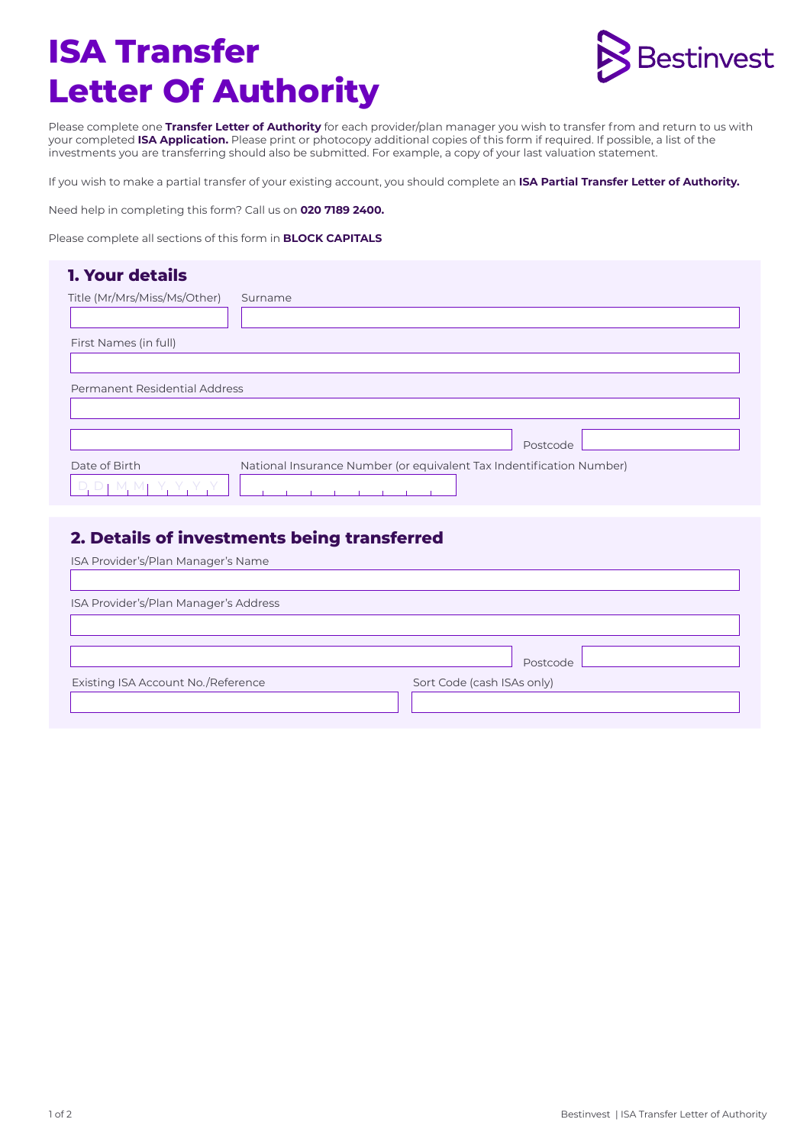# **ISA Transfer Letter Of Authority**



Please complete one **Transfer Letter of Authority** for each provider/plan manager you wish to transfer from and return to us with your completed **ISA Application.** Please print or photocopy additional copies of this form if required. If possible, a list of the investments you are transferring should also be submitted. For example, a copy of your last valuation statement.

If you wish to make a partial transfer of your existing account, you should complete an **ISA Partial Transfer Letter of Authority.**

Need help in completing this form? Call us on **020 7189 2400.** 

Please complete all sections of this form in **BLOCK CAPITALS**

## **1. Your details**  Title (Mr/Mrs/Miss/Ms/Other) First Names (in full) Surname Permanent Residential Address Date of Birth D, D | M, M | Y, Y, Y , Y National Insurance Number (or equivalent Tax Indentification Number) Postcode

### **2. Details of investments being transferred**

| Postcode                   |  |
|----------------------------|--|
| Sort Code (cash ISAs only) |  |
|                            |  |
|                            |  |